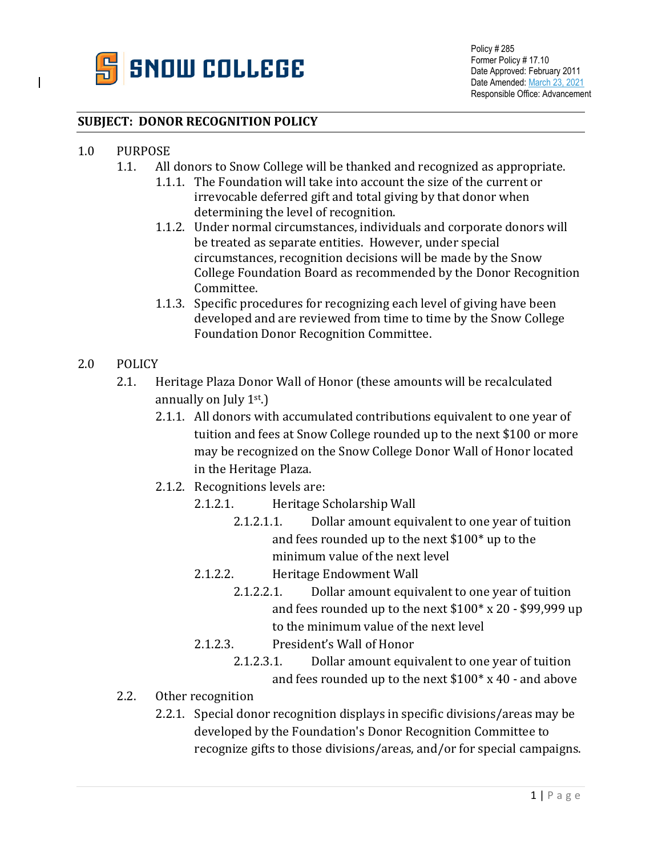

## **SUBJECT: DONOR RECOGNITION POLICY**

## 1.0 PURPOSE<br>1.1. All

- All donors to Snow College will be thanked and recognized as appropriate.
	- 1.1.1. The Foundation will take into account the size of the current or irrevocable deferred gift and total giving by that donor when determining the level of recognition.
	- 1.1.2. Under normal circumstances, individuals and corporate donors will be treated as separate entities. However, under special circumstances, recognition decisions will be made by the Snow College Foundation Board as recommended by the Donor Recognition Committee.
	- 1.1.3. Specific procedures for recognizing each level of giving have been developed and are reviewed from time to time by the Snow College Foundation Donor Recognition Committee.
- 2.0 POLICY
	- 2.1. Heritage Plaza Donor Wall of Honor (these amounts will be recalculated annually on July  $1<sup>st</sup>$ .)
		- 2.1.1. All donors with accumulated contributions equivalent to one year of tuition and fees at Snow College rounded up to the next \$100 or more may be recognized on the Snow College Donor Wall of Honor located in the Heritage Plaza.
		- 2.1.2. Recognitions levels are:
			- 2.1.2.1. Heritage Scholarship Wall
				- 2.1.2.1.1. Dollar amount equivalent to one year of tuition and fees rounded up to the next \$100\* up to the minimum value of the next level
			- 2.1.2.2. Heritage Endowment Wall
				- 2.1.2.2.1. Dollar amount equivalent to one year of tuition and fees rounded up to the next \$100\* x 20 - \$99,999 up to the minimum value of the next level
			- 2.1.2.3. President's Wall of Honor
				- 2.1.2.3.1. Dollar amount equivalent to one year of tuition and fees rounded up to the next \$100\* x 40 - and above
	- 2.2. Other recognition
		- 2.2.1. Special donor recognition displays in specific divisions/areas may be developed by the Foundation's Donor Recognition Committee to recognize gifts to those divisions/areas, and/or for special campaigns.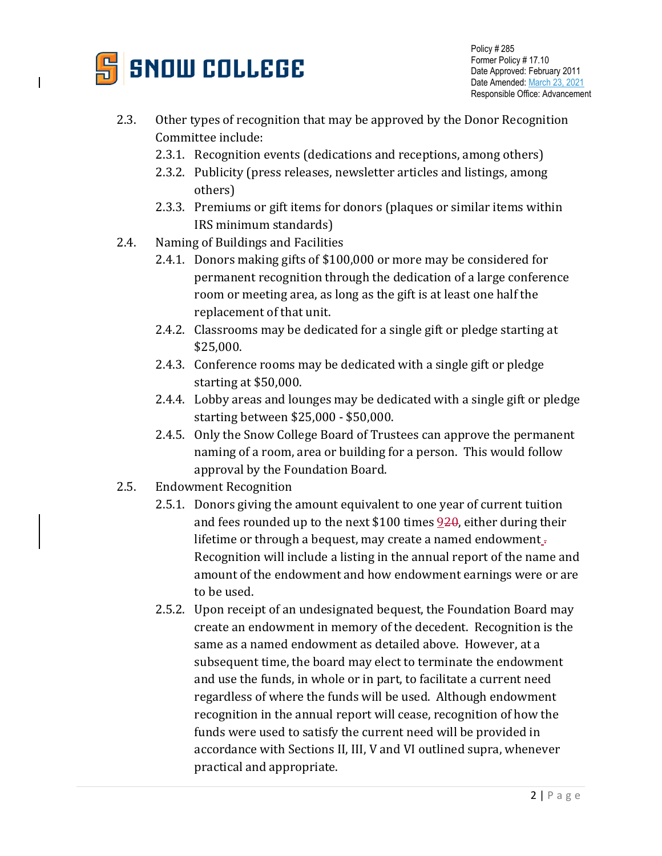

- 2.3. Other types of recognition that may be approved by the Donor Recognition Committee include:
	- 2.3.1. Recognition events (dedications and receptions, among others)
	- 2.3.2. Publicity (press releases, newsletter articles and listings, among others)
	- 2.3.3. Premiums or gift items for donors (plaques or similar items within IRS minimum standards)
- 2.4. Naming of Buildings and Facilities
	- 2.4.1. Donors making gifts of \$100,000 or more may be considered for permanent recognition through the dedication of a large conference room or meeting area, as long as the gift is at least one half the replacement of that unit.
	- 2.4.2. Classrooms may be dedicated for a single gift or pledge starting at \$25,000.
	- 2.4.3. Conference rooms may be dedicated with a single gift or pledge starting at \$50,000.
	- 2.4.4. Lobby areas and lounges may be dedicated with a single gift or pledge starting between \$25,000 - \$50,000.
	- 2.4.5. Only the Snow College Board of Trustees can approve the permanent naming of a room, area or building for a person. This would follow approval by the Foundation Board.
- 2.5. Endowment Recognition
	- 2.5.1. Donors giving the amount equivalent to one year of current tuition and fees rounded up to the next \$100 times  $920$ , either during their lifetime or through a bequest, may create a named endowment<sub>-</sub> Recognition will include a listing in the annual report of the name and amount of the endowment and how endowment earnings were or are to be used.
	- 2.5.2. Upon receipt of an undesignated bequest, the Foundation Board may create an endowment in memory of the decedent. Recognition is the same as a named endowment as detailed above. However, at a subsequent time, the board may elect to terminate the endowment and use the funds, in whole or in part, to facilitate a current need regardless of where the funds will be used. Although endowment recognition in the annual report will cease, recognition of how the funds were used to satisfy the current need will be provided in accordance with Sections II, III, V and VI outlined supra, whenever practical and appropriate.